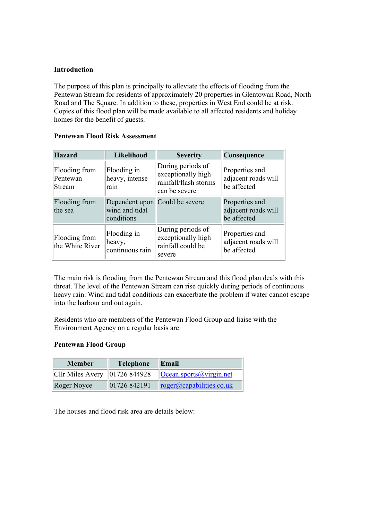### **Introduction**

The purpose of this plan is principally to alleviate the effects of flooding from the Pentewan Stream for residents of approximately 20 properties in Glentowan Road, North Road and The Square. In addition to these, properties in West End could be at risk. Copies of this flood plan will be made available to all affected residents and holiday homes for the benefit of guests.

| <b>Hazard</b>                       | Likelihood                                                     | <b>Severity</b>                                                                   | Consequence                                          |
|-------------------------------------|----------------------------------------------------------------|-----------------------------------------------------------------------------------|------------------------------------------------------|
| Flooding from<br>Pentewan<br>Stream | Flooding in<br>heavy, intense<br>rain                          | During periods of<br>exceptionally high<br>rainfall/flash storms<br>can be severe | Properties and<br>adjacent roads will<br>be affected |
| Flooding from<br>the sea            | Dependent upon Could be severe<br>wind and tidal<br>conditions |                                                                                   | Properties and<br>adjacent roads will<br>be affected |
| Flooding from<br>the White River    | Flooding in<br>heavy,<br>continuous rain                       | During periods of<br>exceptionally high<br>rainfall could be<br>severe            | Properties and<br>adjacent roads will<br>be affected |

#### **Pentewan Flood Risk Assessment**

The main risk is flooding from the Pentewan Stream and this flood plan deals with this threat. The level of the Pentewan Stream can rise quickly during periods of continuous heavy rain. Wind and tidal conditions can exacerbate the problem if water cannot escape into the harbour and out again.

Residents who are members of the Pentewan Flood Group and liaise with the Environment Agency on a regular basis are:

### **Pentewan Flood Group**

| <b>Member</b>                    | <b>Telephone</b> | Email                            |
|----------------------------------|------------------|----------------------------------|
| Cllr Miles Avery $ 01726 844928$ |                  | $\left $ Ocean.sports@virgin.net |
| Roger Noyce                      | 01726 842191     | roger@capabilities.co.uk         |

The houses and flood risk area are details below: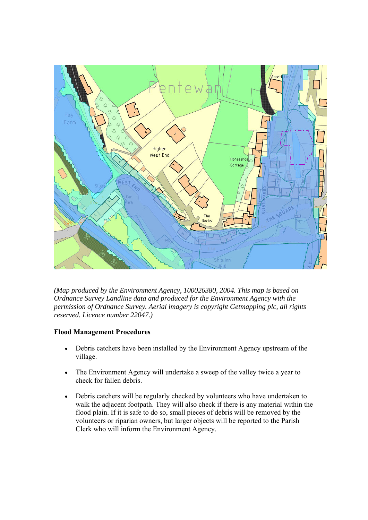

*(Map produced by the Environment Agency, 100026380, 2004. This map is based on Ordnance Survey Landline data and produced for the Environment Agency with the permission of Ordnance Survey. Aerial imagery is copyright Getmapping plc, all rights reserved. Licence number 22047.)*

# **Flood Management Procedures**

- Debris catchers have been installed by the Environment Agency upstream of the village.
- The Environment Agency will undertake a sweep of the valley twice a year to check for fallen debris.
- Debris catchers will be regularly checked by volunteers who have undertaken to walk the adjacent footpath. They will also check if there is any material within the flood plain. If it is safe to do so, small pieces of debris will be removed by the volunteers or riparian owners, but larger objects will be reported to the Parish Clerk who will inform the Environment Agency.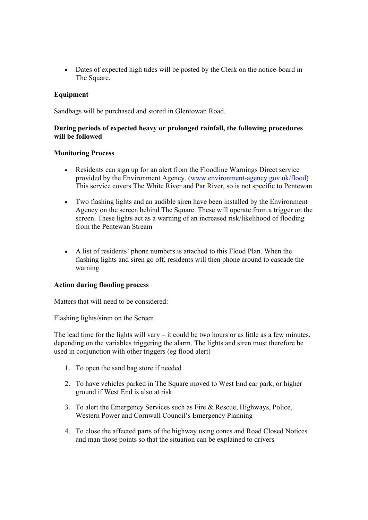• Dates of expected high tides will be posted by the Clerk on the notice-board in The Square.

## **Equipment**

Sandbags will be purchased and stored in Glentowan Road.

## **During periods of expected heavy or prolonged rainfall, the following procedures will be followed**

#### **Monitoring Process**

- Residents can sign up for an alert from the Floodline Warnings Direct service provided by the Environment Agency. (www.environment-agency.gov.uk/flood) This service covers The White River and Par River, so is not specific to Pentewan
- Two flashing lights and an audible siren have been installed by the Environment Agency on the screen behind The Square. These will operate from a trigger on the screen. These lights act as a warning of an increased risk/likelihood of flooding from the Pentewan Stream
- A list of residents' phone numbers is attached to this Flood Plan. When the flashing lights and siren go off, residents will then phone around to cascade the warning

### **Action during flooding process**

Matters that will need to be considered:

Flashing lights/siren on the Screen

The lead time for the lights will vary  $-$  it could be two hours or as little as a few minutes, depending on the variables triggering the alarm. The lights and siren must therefore be used in conjunction with other triggers (eg flood alert)

- 1. To open the sand bag store if needed
- 2. To have vehicles parked in The Square moved to West End car park, or higher ground if West End is also at risk
- 3. To alert the Emergency Services such as Fire & Rescue, Highways, Police, Western Power and Cornwall Council's Emergency Planning
- 4. To close the affected parts of the highway using cones and Road Closed Notices and man those points so that the situation can be explained to drivers